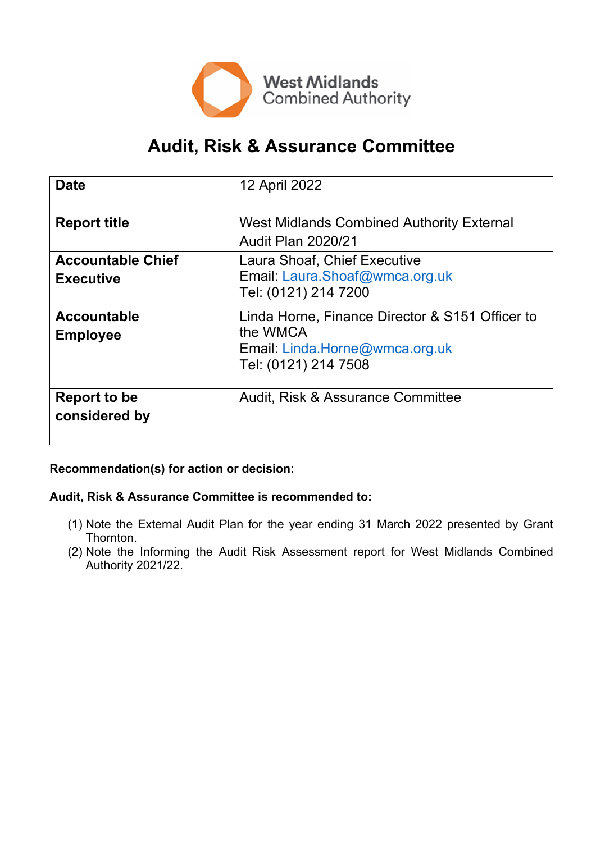

# **Audit, Risk & Assurance Committee**

| <b>Date</b>                                  | 12 April 2022                                                                                                         |
|----------------------------------------------|-----------------------------------------------------------------------------------------------------------------------|
| <b>Report title</b>                          | <b>West Midlands Combined Authority External</b><br><b>Audit Plan 2020/21</b>                                         |
| <b>Accountable Chief</b><br><b>Executive</b> | Laura Shoaf, Chief Executive<br>Email: Laura.Shoaf@wmca.org.uk<br>Tel: (0121) 214 7200                                |
| <b>Accountable</b><br><b>Employee</b>        | Linda Horne, Finance Director & S151 Officer to<br>the WMCA<br>Email: Linda.Horne@wmca.org.uk<br>Tel: (0121) 214 7508 |
| Report to be<br>considered by                | Audit, Risk & Assurance Committee                                                                                     |

**Recommendation(s) for action or decision:**

**Audit, Risk & Assurance Committee is recommended to:**

- (1) Note the External Audit Plan for the year ending 31 March 2022 presented by Grant Thornton.
- (2) Note the Informing the Audit Risk Assessment report for West Midlands Combined Authority 2021/22.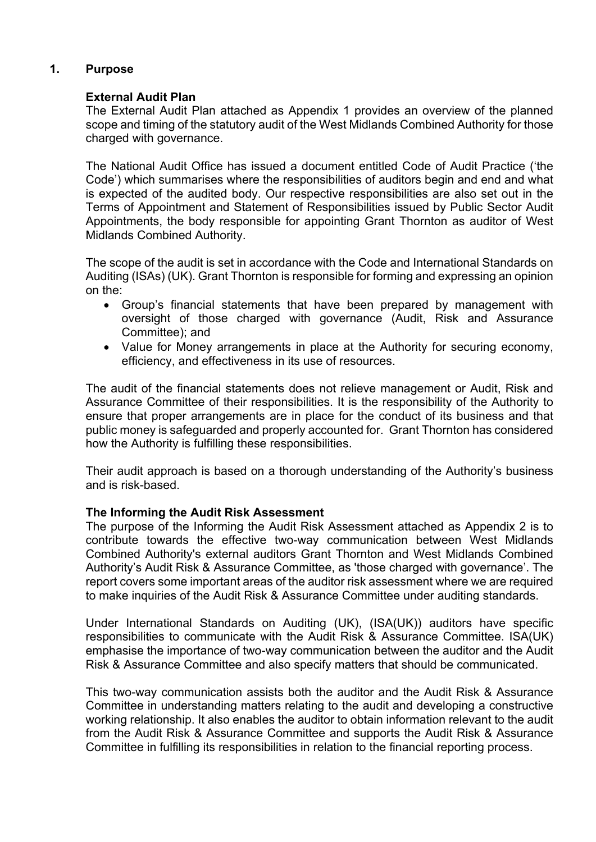# **1. Purpose**

### **External Audit Plan**

The External Audit Plan attached as Appendix 1 provides an overview of the planned scope and timing of the statutory audit of the West Midlands Combined Authority for those charged with governance.

The National Audit Office has issued a document entitled Code of Audit Practice ('the Code') which summarises where the responsibilities of auditors begin and end and what is expected of the audited body. Our respective responsibilities are also set out in the Terms of Appointment and Statement of Responsibilities issued by Public Sector Audit Appointments, the body responsible for appointing Grant Thornton as auditor of West Midlands Combined Authority.

The scope of the audit is set in accordance with the Code and International Standards on Auditing (ISAs) (UK). Grant Thornton is responsible for forming and expressing an opinion on the:

- Group's financial statements that have been prepared by management with oversight of those charged with governance (Audit, Risk and Assurance Committee); and
- Value for Money arrangements in place at the Authority for securing economy, efficiency, and effectiveness in its use of resources.

The audit of the financial statements does not relieve management or Audit, Risk and Assurance Committee of their responsibilities. It is the responsibility of the Authority to ensure that proper arrangements are in place for the conduct of its business and that public money is safeguarded and properly accounted for. Grant Thornton has considered how the Authority is fulfilling these responsibilities.

Their audit approach is based on a thorough understanding of the Authority's business and is risk-based.

### **The Informing the Audit Risk Assessment**

The purpose of the Informing the Audit Risk Assessment attached as Appendix 2 is to contribute towards the effective two-way communication between West Midlands Combined Authority's external auditors Grant Thornton and West Midlands Combined Authority's Audit Risk & Assurance Committee, as 'those charged with governance'. The report covers some important areas of the auditor risk assessment where we are required to make inquiries of the Audit Risk & Assurance Committee under auditing standards.

Under International Standards on Auditing (UK), (ISA(UK)) auditors have specific responsibilities to communicate with the Audit Risk & Assurance Committee. ISA(UK) emphasise the importance of two-way communication between the auditor and the Audit Risk & Assurance Committee and also specify matters that should be communicated.

This two-way communication assists both the auditor and the Audit Risk & Assurance Committee in understanding matters relating to the audit and developing a constructive working relationship. It also enables the auditor to obtain information relevant to the audit from the Audit Risk & Assurance Committee and supports the Audit Risk & Assurance Committee in fulfilling its responsibilities in relation to the financial reporting process.